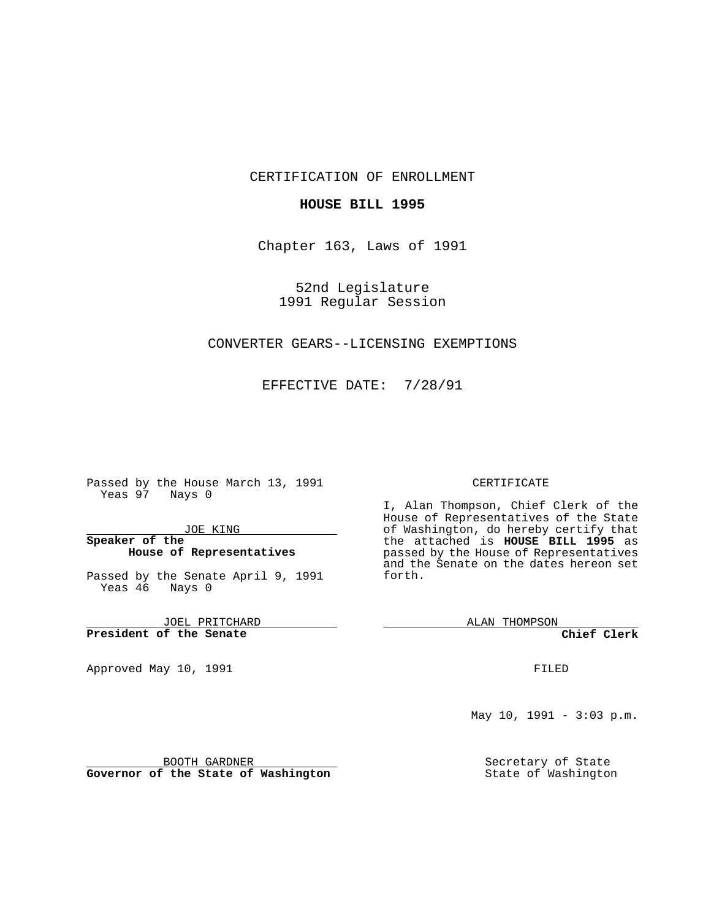## CERTIFICATION OF ENROLLMENT

### **HOUSE BILL 1995**

Chapter 163, Laws of 1991

52nd Legislature 1991 Regular Session

# CONVERTER GEARS--LICENSING EXEMPTIONS

EFFECTIVE DATE: 7/28/91

Passed by the House March 13, 1991 Yeas 97 Nays 0

JOE KING

## **Speaker of the House of Representatives**

Passed by the Senate April 9, 1991 Yeas 46 Nays 0

JOEL PRITCHARD **President of the Senate**

Approved May 10, 1991

#### CERTIFICATE

I, Alan Thompson, Chief Clerk of the House of Representatives of the State of Washington, do hereby certify that the attached is **HOUSE BILL 1995** as passed by the House of Representatives and the Senate on the dates hereon set forth.

ALAN THOMPSON

**Chief Clerk**

FILED

May 10, 1991 - 3:03 p.m.

Secretary of State State of Washington

BOOTH GARDNER **Governor of the State of Washington**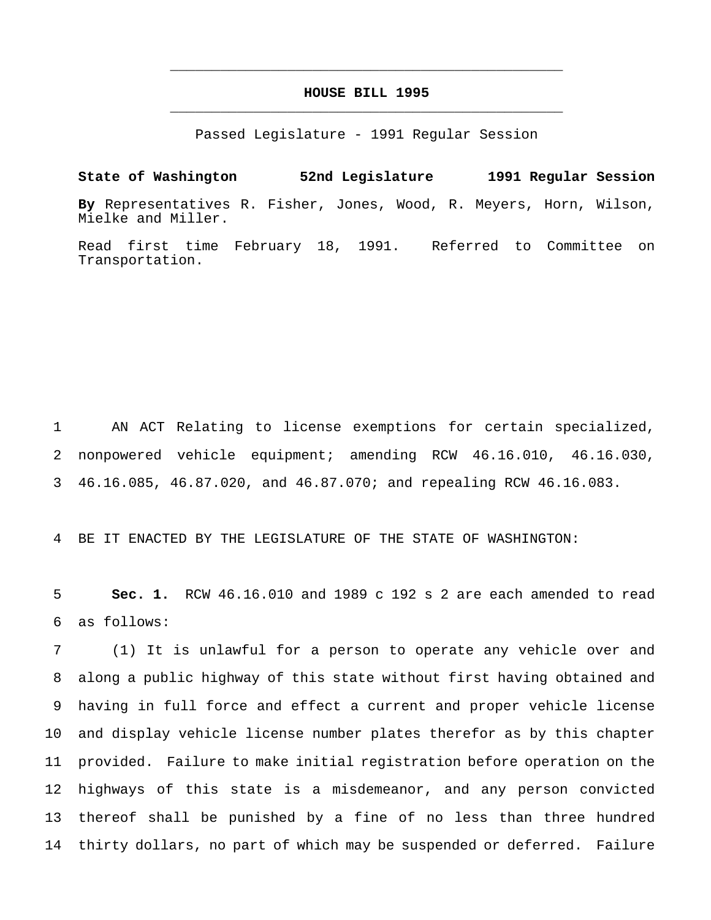# **HOUSE BILL 1995** \_\_\_\_\_\_\_\_\_\_\_\_\_\_\_\_\_\_\_\_\_\_\_\_\_\_\_\_\_\_\_\_\_\_\_\_\_\_\_\_\_\_\_\_\_\_\_

\_\_\_\_\_\_\_\_\_\_\_\_\_\_\_\_\_\_\_\_\_\_\_\_\_\_\_\_\_\_\_\_\_\_\_\_\_\_\_\_\_\_\_\_\_\_\_

Passed Legislature - 1991 Regular Session

**State of Washington 52nd Legislature 1991 Regular Session By** Representatives R. Fisher, Jones, Wood, R. Meyers, Horn, Wilson, Mielke and Miller.

Read first time February 18, 1991. Referred to Committee on Transportation.

 AN ACT Relating to license exemptions for certain specialized, nonpowered vehicle equipment; amending RCW 46.16.010, 46.16.030, 46.16.085, 46.87.020, and 46.87.070; and repealing RCW 46.16.083.

BE IT ENACTED BY THE LEGISLATURE OF THE STATE OF WASHINGTON:

 **Sec. 1.** RCW 46.16.010 and 1989 c 192 s 2 are each amended to read as follows:

 (1) It is unlawful for a person to operate any vehicle over and along a public highway of this state without first having obtained and having in full force and effect a current and proper vehicle license and display vehicle license number plates therefor as by this chapter provided. Failure to make initial registration before operation on the highways of this state is a misdemeanor, and any person convicted thereof shall be punished by a fine of no less than three hundred thirty dollars, no part of which may be suspended or deferred. Failure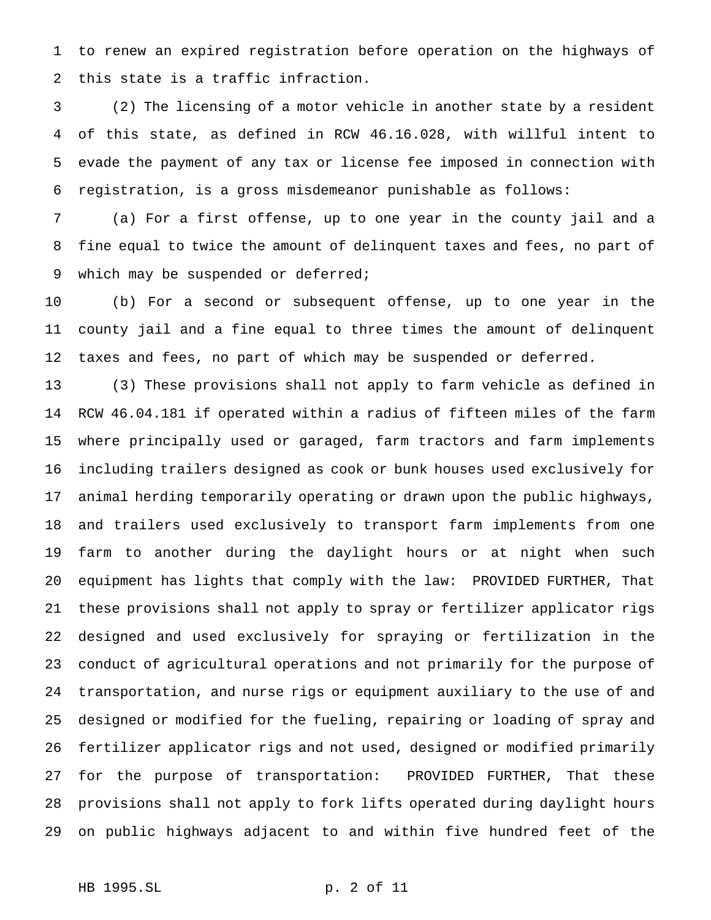to renew an expired registration before operation on the highways of this state is a traffic infraction.

 (2) The licensing of a motor vehicle in another state by a resident of this state, as defined in RCW 46.16.028, with willful intent to evade the payment of any tax or license fee imposed in connection with registration, is a gross misdemeanor punishable as follows:

 (a) For a first offense, up to one year in the county jail and a fine equal to twice the amount of delinquent taxes and fees, no part of 9 which may be suspended or deferred;

 (b) For a second or subsequent offense, up to one year in the county jail and a fine equal to three times the amount of delinquent taxes and fees, no part of which may be suspended or deferred.

 (3) These provisions shall not apply to farm vehicle as defined in RCW 46.04.181 if operated within a radius of fifteen miles of the farm where principally used or garaged, farm tractors and farm implements including trailers designed as cook or bunk houses used exclusively for animal herding temporarily operating or drawn upon the public highways, and trailers used exclusively to transport farm implements from one farm to another during the daylight hours or at night when such equipment has lights that comply with the law: PROVIDED FURTHER, That these provisions shall not apply to spray or fertilizer applicator rigs designed and used exclusively for spraying or fertilization in the conduct of agricultural operations and not primarily for the purpose of transportation, and nurse rigs or equipment auxiliary to the use of and designed or modified for the fueling, repairing or loading of spray and fertilizer applicator rigs and not used, designed or modified primarily for the purpose of transportation: PROVIDED FURTHER, That these provisions shall not apply to fork lifts operated during daylight hours on public highways adjacent to and within five hundred feet of the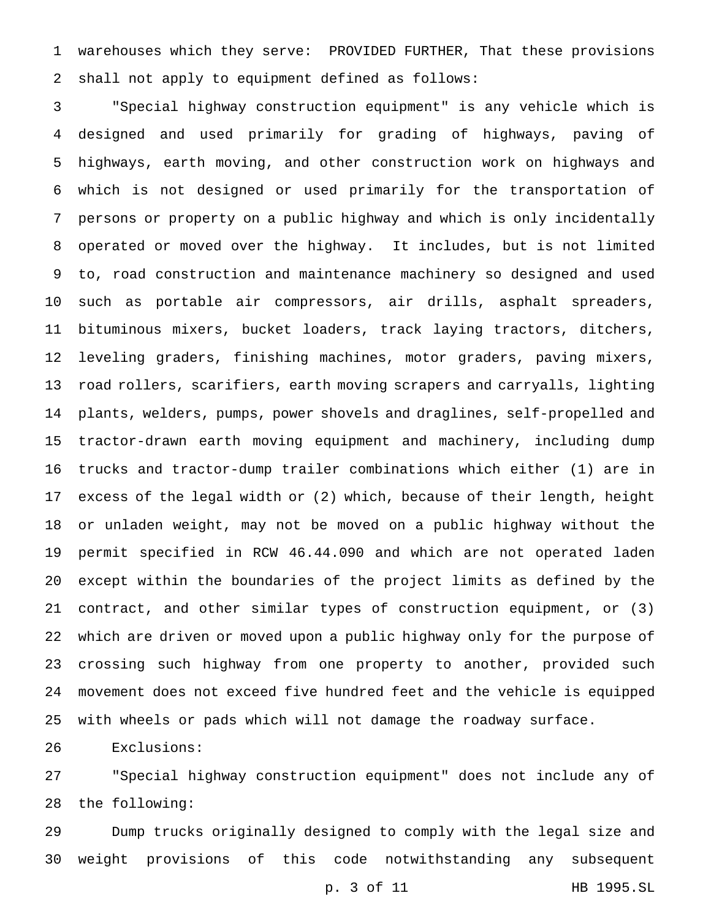warehouses which they serve: PROVIDED FURTHER, That these provisions shall not apply to equipment defined as follows:

 "Special highway construction equipment" is any vehicle which is designed and used primarily for grading of highways, paving of highways, earth moving, and other construction work on highways and which is not designed or used primarily for the transportation of persons or property on a public highway and which is only incidentally operated or moved over the highway. It includes, but is not limited to, road construction and maintenance machinery so designed and used such as portable air compressors, air drills, asphalt spreaders, bituminous mixers, bucket loaders, track laying tractors, ditchers, leveling graders, finishing machines, motor graders, paving mixers, road rollers, scarifiers, earth moving scrapers and carryalls, lighting plants, welders, pumps, power shovels and draglines, self-propelled and tractor-drawn earth moving equipment and machinery, including dump trucks and tractor-dump trailer combinations which either (1) are in excess of the legal width or (2) which, because of their length, height or unladen weight, may not be moved on a public highway without the permit specified in RCW 46.44.090 and which are not operated laden except within the boundaries of the project limits as defined by the contract, and other similar types of construction equipment, or (3) which are driven or moved upon a public highway only for the purpose of crossing such highway from one property to another, provided such movement does not exceed five hundred feet and the vehicle is equipped with wheels or pads which will not damage the roadway surface.

Exclusions:

 "Special highway construction equipment" does not include any of the following:

 Dump trucks originally designed to comply with the legal size and weight provisions of this code notwithstanding any subsequent

p. 3 of 11 HB 1995.SL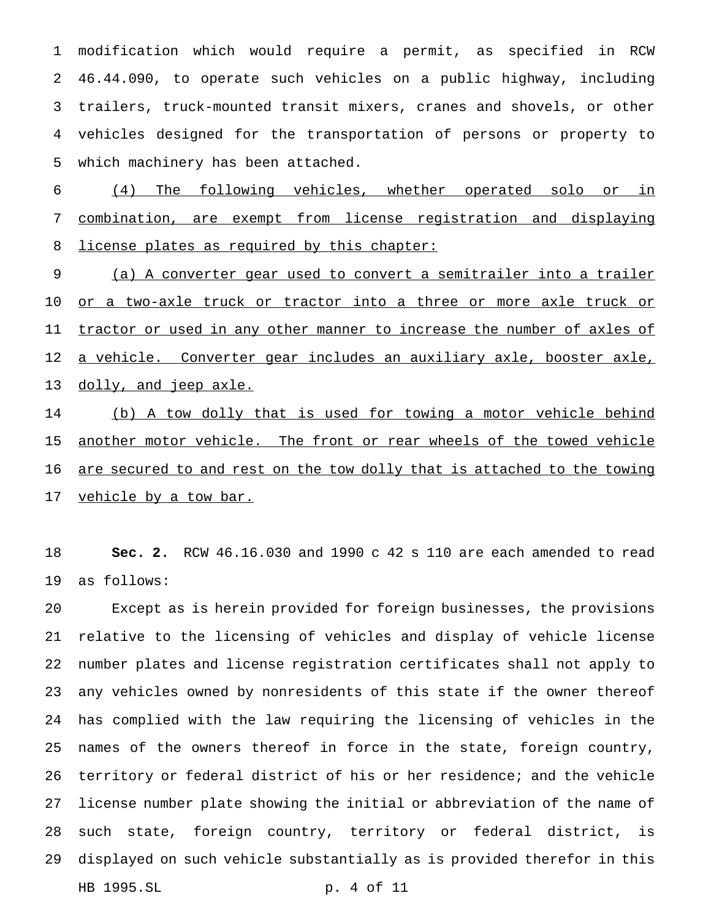modification which would require a permit, as specified in RCW 46.44.090, to operate such vehicles on a public highway, including trailers, truck-mounted transit mixers, cranes and shovels, or other vehicles designed for the transportation of persons or property to which machinery has been attached.

 (4) The following vehicles, whether operated solo or in combination, are exempt from license registration and displaying 8 license plates as required by this chapter:

 (a) A converter gear used to convert a semitrailer into a trailer 10 <u>or a two-axle truck or tractor into a three or more axle truck or</u> 11 tractor or used in any other manner to increase the number of axles of a vehicle. Converter gear includes an auxiliary axle, booster axle, 13 dolly, and jeep axle.

14 (b) A tow dolly that is used for towing a motor vehicle behind 15 another motor vehicle. The front or rear wheels of the towed vehicle 16 <u>are secured to and rest on the tow dolly that is attached to the towing</u> 17 vehicle by a tow bar.

 **Sec. 2.** RCW 46.16.030 and 1990 c 42 s 110 are each amended to read as follows:

 Except as is herein provided for foreign businesses, the provisions relative to the licensing of vehicles and display of vehicle license number plates and license registration certificates shall not apply to any vehicles owned by nonresidents of this state if the owner thereof has complied with the law requiring the licensing of vehicles in the names of the owners thereof in force in the state, foreign country, territory or federal district of his or her residence; and the vehicle license number plate showing the initial or abbreviation of the name of such state, foreign country, territory or federal district, is displayed on such vehicle substantially as is provided therefor in this HB 1995.SL p. 4 of 11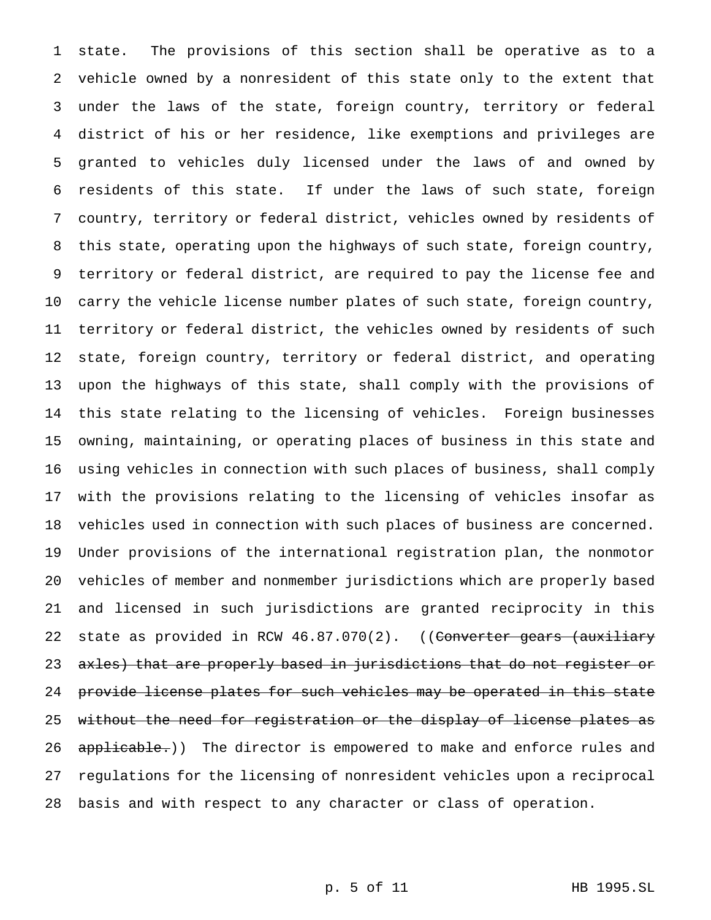state. The provisions of this section shall be operative as to a vehicle owned by a nonresident of this state only to the extent that under the laws of the state, foreign country, territory or federal district of his or her residence, like exemptions and privileges are granted to vehicles duly licensed under the laws of and owned by residents of this state. If under the laws of such state, foreign country, territory or federal district, vehicles owned by residents of this state, operating upon the highways of such state, foreign country, territory or federal district, are required to pay the license fee and carry the vehicle license number plates of such state, foreign country, territory or federal district, the vehicles owned by residents of such state, foreign country, territory or federal district, and operating upon the highways of this state, shall comply with the provisions of this state relating to the licensing of vehicles. Foreign businesses owning, maintaining, or operating places of business in this state and using vehicles in connection with such places of business, shall comply with the provisions relating to the licensing of vehicles insofar as vehicles used in connection with such places of business are concerned. Under provisions of the international registration plan, the nonmotor vehicles of member and nonmember jurisdictions which are properly based and licensed in such jurisdictions are granted reciprocity in this 22 state as provided in RCW 46.87.070(2). ((Converter gears (auxiliary 23 axles) that are properly based in jurisdictions that do not register or 24 provide license plates for such vehicles may be operated in this state without the need for registration or the display of license plates as 26 applicable.)) The director is empowered to make and enforce rules and regulations for the licensing of nonresident vehicles upon a reciprocal basis and with respect to any character or class of operation.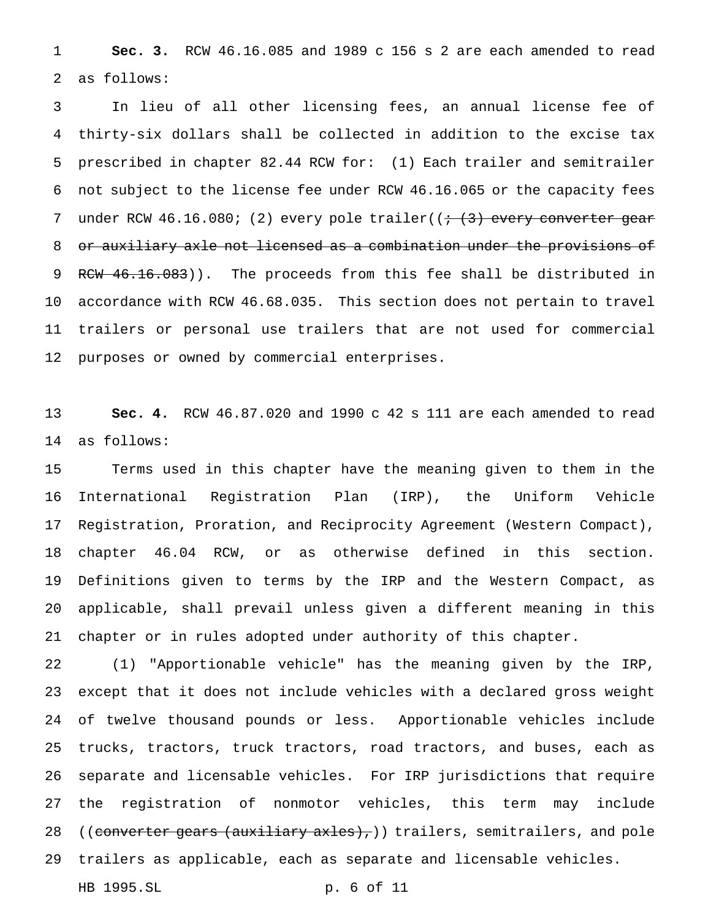**Sec. 3.** RCW 46.16.085 and 1989 c 156 s 2 are each amended to read as follows:

 In lieu of all other licensing fees, an annual license fee of thirty-six dollars shall be collected in addition to the excise tax prescribed in chapter 82.44 RCW for: (1) Each trailer and semitrailer not subject to the license fee under RCW 46.16.065 or the capacity fees 7 under RCW 46.16.080; (2) every pole trailer( $(+$   $(3)$  every converter gear 8 or auxiliary axle not licensed as a combination under the provisions of 9 RCW 46.16.083)). The proceeds from this fee shall be distributed in accordance with RCW 46.68.035. This section does not pertain to travel trailers or personal use trailers that are not used for commercial purposes or owned by commercial enterprises.

 **Sec. 4.** RCW 46.87.020 and 1990 c 42 s 111 are each amended to read as follows:

 Terms used in this chapter have the meaning given to them in the International Registration Plan (IRP), the Uniform Vehicle Registration, Proration, and Reciprocity Agreement (Western Compact), chapter 46.04 RCW, or as otherwise defined in this section. Definitions given to terms by the IRP and the Western Compact, as applicable, shall prevail unless given a different meaning in this chapter or in rules adopted under authority of this chapter.

 (1) "Apportionable vehicle" has the meaning given by the IRP, except that it does not include vehicles with a declared gross weight of twelve thousand pounds or less. Apportionable vehicles include trucks, tractors, truck tractors, road tractors, and buses, each as separate and licensable vehicles. For IRP jurisdictions that require the registration of nonmotor vehicles, this term may include 28 ((converter gears (auxiliary axles),)) trailers, semitrailers, and pole trailers as applicable, each as separate and licensable vehicles. HB 1995.SL p. 6 of 11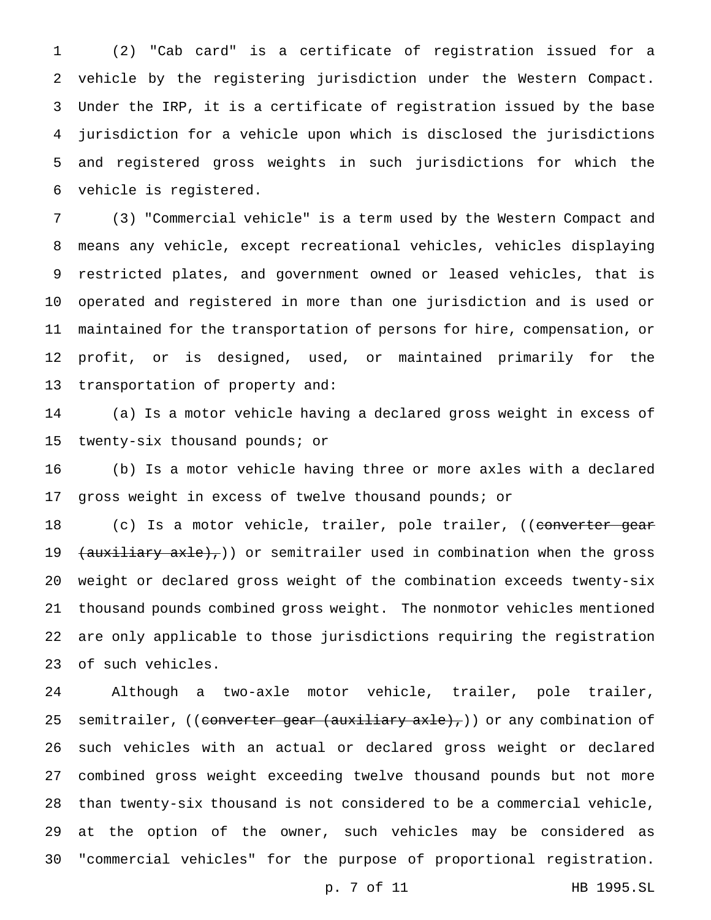(2) "Cab card" is a certificate of registration issued for a vehicle by the registering jurisdiction under the Western Compact. Under the IRP, it is a certificate of registration issued by the base jurisdiction for a vehicle upon which is disclosed the jurisdictions and registered gross weights in such jurisdictions for which the vehicle is registered.

 (3) "Commercial vehicle" is a term used by the Western Compact and means any vehicle, except recreational vehicles, vehicles displaying restricted plates, and government owned or leased vehicles, that is operated and registered in more than one jurisdiction and is used or maintained for the transportation of persons for hire, compensation, or profit, or is designed, used, or maintained primarily for the transportation of property and:

 (a) Is a motor vehicle having a declared gross weight in excess of twenty-six thousand pounds; or

 (b) Is a motor vehicle having three or more axles with a declared gross weight in excess of twelve thousand pounds; or

18 (c) Is a motor vehicle, trailer, pole trailer, ((converter gear 19 <del>(auxiliary axle),</del>)) or semitrailer used in combination when the gross weight or declared gross weight of the combination exceeds twenty-six thousand pounds combined gross weight. The nonmotor vehicles mentioned are only applicable to those jurisdictions requiring the registration of such vehicles.

 Although a two-axle motor vehicle, trailer, pole trailer, 25 semitrailer, ((converter gear (auxiliary axle),)) or any combination of such vehicles with an actual or declared gross weight or declared combined gross weight exceeding twelve thousand pounds but not more than twenty-six thousand is not considered to be a commercial vehicle, at the option of the owner, such vehicles may be considered as "commercial vehicles" for the purpose of proportional registration.

p. 7 of 11 HB 1995.SL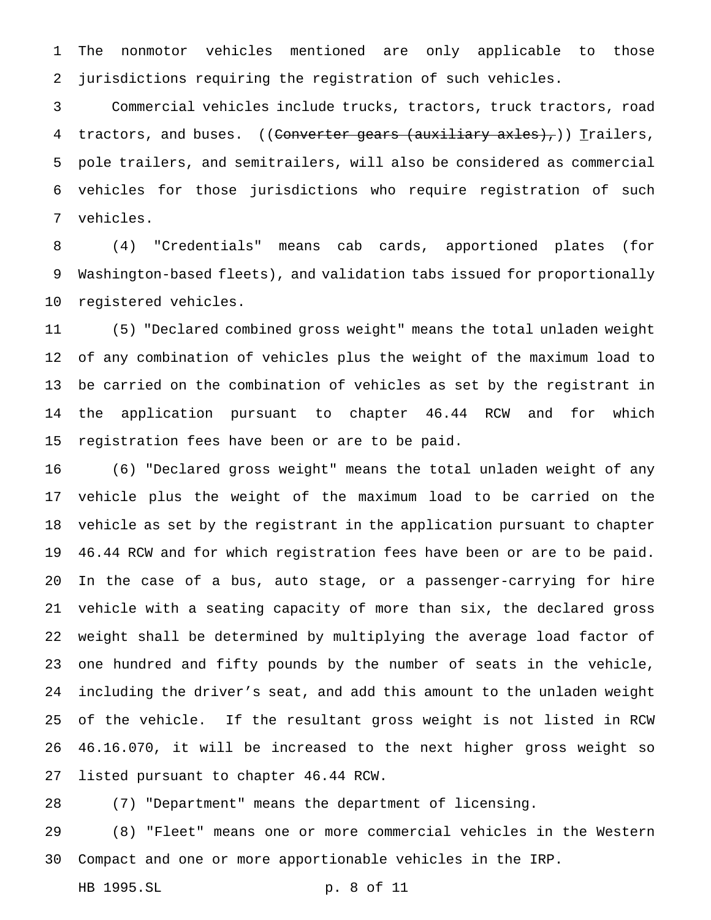The nonmotor vehicles mentioned are only applicable to those jurisdictions requiring the registration of such vehicles.

 Commercial vehicles include trucks, tractors, truck tractors, road 4 tractors, and buses. ((Converter gears (auxiliary axles),)) Trailers, pole trailers, and semitrailers, will also be considered as commercial vehicles for those jurisdictions who require registration of such vehicles.

 (4) "Credentials" means cab cards, apportioned plates (for Washington-based fleets), and validation tabs issued for proportionally registered vehicles.

 (5) "Declared combined gross weight" means the total unladen weight of any combination of vehicles plus the weight of the maximum load to be carried on the combination of vehicles as set by the registrant in the application pursuant to chapter 46.44 RCW and for which registration fees have been or are to be paid.

 (6) "Declared gross weight" means the total unladen weight of any vehicle plus the weight of the maximum load to be carried on the vehicle as set by the registrant in the application pursuant to chapter 46.44 RCW and for which registration fees have been or are to be paid. In the case of a bus, auto stage, or a passenger-carrying for hire vehicle with a seating capacity of more than six, the declared gross weight shall be determined by multiplying the average load factor of one hundred and fifty pounds by the number of seats in the vehicle, including the driver's seat, and add this amount to the unladen weight of the vehicle. If the resultant gross weight is not listed in RCW 46.16.070, it will be increased to the next higher gross weight so listed pursuant to chapter 46.44 RCW.

(7) "Department" means the department of licensing.

 (8) "Fleet" means one or more commercial vehicles in the Western Compact and one or more apportionable vehicles in the IRP.

HB 1995.SL p. 8 of 11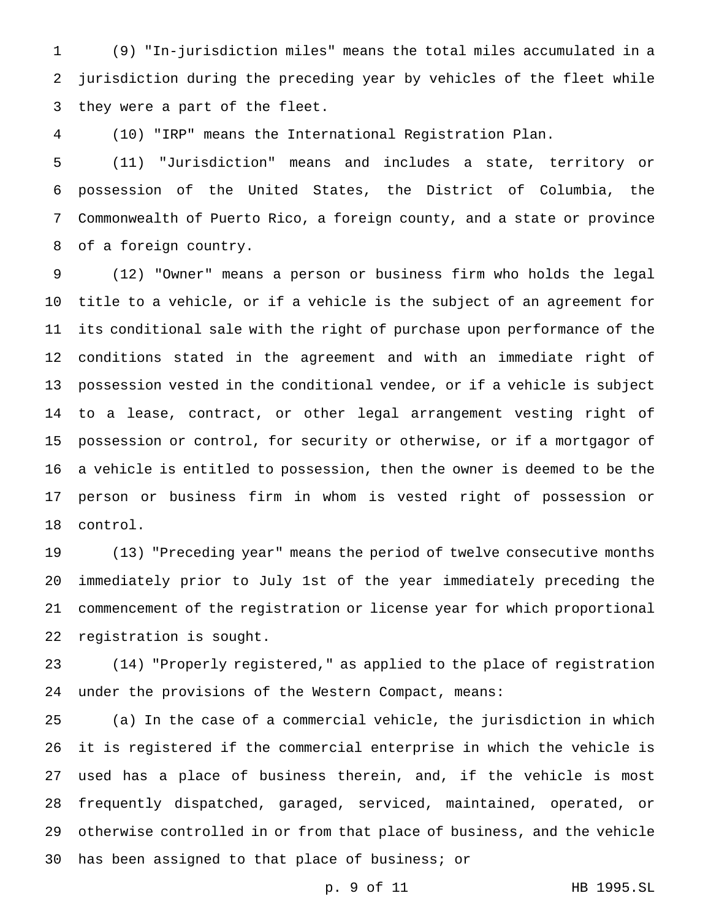(9) "In-jurisdiction miles" means the total miles accumulated in a jurisdiction during the preceding year by vehicles of the fleet while they were a part of the fleet.

(10) "IRP" means the International Registration Plan.

 (11) "Jurisdiction" means and includes a state, territory or possession of the United States, the District of Columbia, the Commonwealth of Puerto Rico, a foreign county, and a state or province of a foreign country.

 (12) "Owner" means a person or business firm who holds the legal title to a vehicle, or if a vehicle is the subject of an agreement for its conditional sale with the right of purchase upon performance of the conditions stated in the agreement and with an immediate right of possession vested in the conditional vendee, or if a vehicle is subject to a lease, contract, or other legal arrangement vesting right of possession or control, for security or otherwise, or if a mortgagor of a vehicle is entitled to possession, then the owner is deemed to be the person or business firm in whom is vested right of possession or control.

 (13) "Preceding year" means the period of twelve consecutive months immediately prior to July 1st of the year immediately preceding the commencement of the registration or license year for which proportional registration is sought.

 (14) "Properly registered," as applied to the place of registration under the provisions of the Western Compact, means:

 (a) In the case of a commercial vehicle, the jurisdiction in which it is registered if the commercial enterprise in which the vehicle is used has a place of business therein, and, if the vehicle is most frequently dispatched, garaged, serviced, maintained, operated, or otherwise controlled in or from that place of business, and the vehicle has been assigned to that place of business; or

p. 9 of 11 HB 1995.SL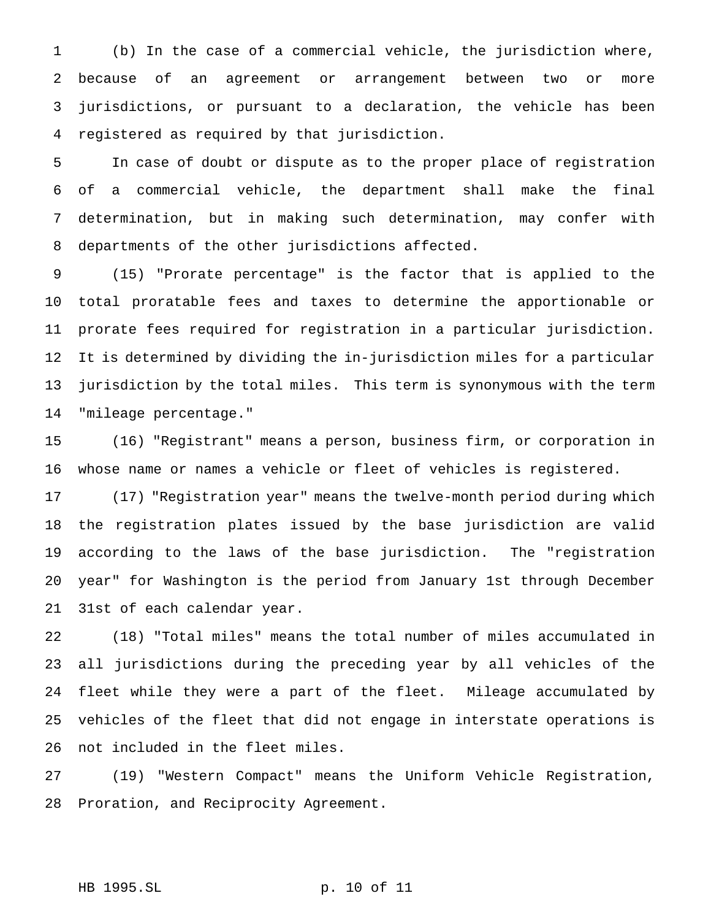(b) In the case of a commercial vehicle, the jurisdiction where, because of an agreement or arrangement between two or more jurisdictions, or pursuant to a declaration, the vehicle has been registered as required by that jurisdiction.

 In case of doubt or dispute as to the proper place of registration of a commercial vehicle, the department shall make the final determination, but in making such determination, may confer with departments of the other jurisdictions affected.

 (15) "Prorate percentage" is the factor that is applied to the total proratable fees and taxes to determine the apportionable or prorate fees required for registration in a particular jurisdiction. It is determined by dividing the in-jurisdiction miles for a particular jurisdiction by the total miles. This term is synonymous with the term "mileage percentage."

 (16) "Registrant" means a person, business firm, or corporation in whose name or names a vehicle or fleet of vehicles is registered.

 (17) "Registration year" means the twelve-month period during which the registration plates issued by the base jurisdiction are valid according to the laws of the base jurisdiction. The "registration year" for Washington is the period from January 1st through December 31st of each calendar year.

 (18) "Total miles" means the total number of miles accumulated in all jurisdictions during the preceding year by all vehicles of the fleet while they were a part of the fleet. Mileage accumulated by vehicles of the fleet that did not engage in interstate operations is not included in the fleet miles.

 (19) "Western Compact" means the Uniform Vehicle Registration, Proration, and Reciprocity Agreement.

```
HB 1995.SL p. 10 of 11
```